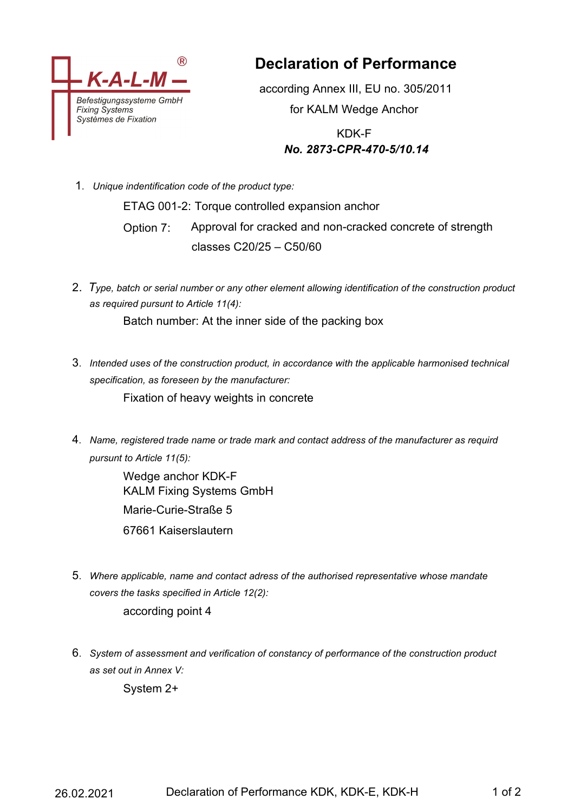

**Declaration of Performance**

according Annex III, EU no. 305/2011 for KALM Wedge Anchor

> KDK-F *No. 2873-CPR-470-5/10.14*

1. *Unique indentification code of the product type:*

ETAG 001-2: Torque controlled expansion anchor Option 7: Approval for cracked and non-cracked concrete of strength classes C20/25 – C50/60

2. *Type, batch or serial number or any other element allowing identification of the construction product as required pursunt to Article 11(4):*

Batch number: At the inner side of the packing box

3. *Intended uses of the construction product, in accordance with the applicable harmonised technical specification, as foreseen by the manufacturer:*

Fixation of heavy weights in concrete

4. *Name, registered trade name or trade mark and contact address of the manufacturer as requird pursunt to Article 11(5):*

> Wedge anchor KDK-F KALM Fixing Systems GmbH Marie-Curie-Straße 5 67661 Kaiserslautern

- 5. *Where applicable, name and contact adress of the authorised representative whose mandate covers the tasks specified in Article 12(2):* according point 4
- 6. *System of assessment and verification of constancy of performance of the construction product as set out in Annex V:*

System 2+